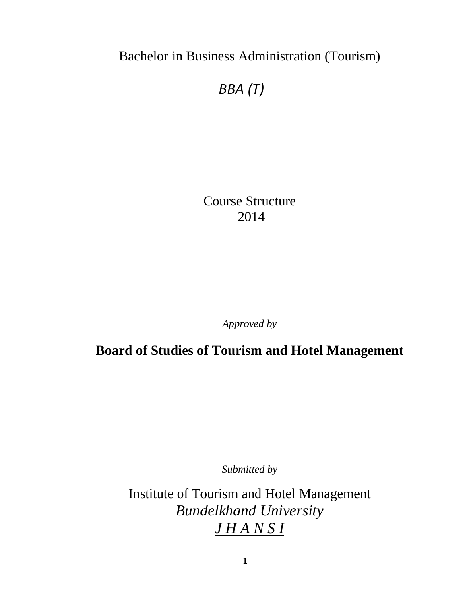Bachelor in Business Administration (Tourism)

# *BBA (T)*

Course Structure 2014

*Approved by* 

**Board of Studies of Tourism and Hotel Management**

*Submitted by*

Institute of Tourism and Hotel Management *Bundelkhand University J H A N S I*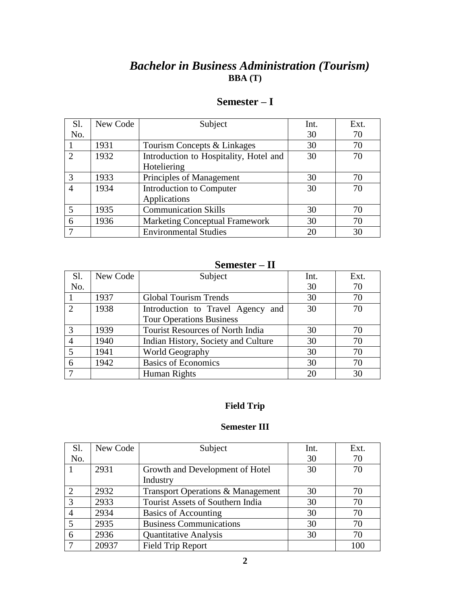## *Bachelor in Business Administration (Tourism)* **BBA (T)**

| Sl.                         | New Code | Subject                                | Int. | Ext. |
|-----------------------------|----------|----------------------------------------|------|------|
| No.                         |          |                                        | 30   | 70   |
|                             | 1931     | Tourism Concepts & Linkages            | 30   | 70   |
| $\mathcal{D}_{\mathcal{L}}$ | 1932     | Introduction to Hospitality, Hotel and | 30   | 70   |
|                             |          | Hoteliering                            |      |      |
| 3                           | 1933     | Principles of Management               | 30   | 70   |
| $\overline{4}$              | 1934     | Introduction to Computer               | 30   | 70   |
|                             |          | Applications                           |      |      |
|                             | 1935     | <b>Communication Skills</b>            | 30   | 70   |
| 6                           | 1936     | <b>Marketing Conceptual Framework</b>  | 30   | 70   |
|                             |          | <b>Environmental Studies</b>           | 20   | 30   |

### **Semester – I**

### **Semester – II**

| Sl.            | New Code | Subject                                 | Int. | Ext. |
|----------------|----------|-----------------------------------------|------|------|
| No.            |          |                                         | 30   | 70   |
|                | 1937     | <b>Global Tourism Trends</b>            | 30   | 70   |
|                | 1938     | Introduction to Travel Agency and       | 30   | 70   |
|                |          | <b>Tour Operations Business</b>         |      |      |
|                | 1939     | <b>Tourist Resources of North India</b> | 30   | 70   |
|                | 1940     | Indian History, Society and Culture     | 30   | 70   |
| $\overline{5}$ | 1941     | World Geography                         | 30   | 70   |
| 6              | 1942     | <b>Basics of Economics</b>              | 30   | 70   |
|                |          | Human Rights                            | 20   | 30   |

#### **Field Trip**

#### **Semester III**

| Sl.            | New Code | Subject                           | Int. | Ext. |
|----------------|----------|-----------------------------------|------|------|
| No.            |          |                                   | 30   | 70   |
|                | 2931     | Growth and Development of Hotel   | 30   | 70   |
|                |          | Industry                          |      |      |
| 2              | 2932     | Transport Operations & Management | 30   | 70   |
| $\overline{3}$ | 2933     | Tourist Assets of Southern India  | 30   | 70   |
|                | 2934     | Basics of Accounting              | 30   | 70   |
| 5              | 2935     | <b>Business Communications</b>    | 30   | 70   |
| 6              | 2936     | <b>Quantitative Analysis</b>      | 30   | 70   |
|                | 20937    | <b>Field Trip Report</b>          |      | 100  |